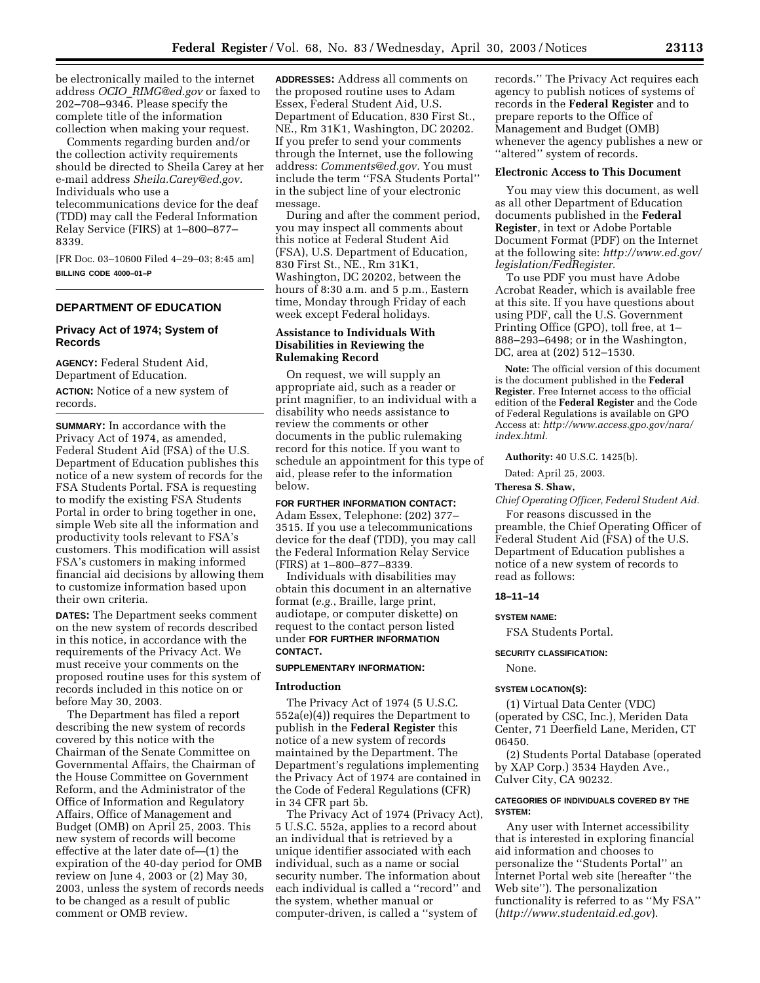be electronically mailed to the internet address *OCIO*\_*RIMG@ed.gov* or faxed to 202–708–9346. Please specify the complete title of the information collection when making your request.

Comments regarding burden and/or the collection activity requirements should be directed to Sheila Carey at her e-mail address *Sheila.Carey@ed.gov*. Individuals who use a telecommunications device for the deaf

(TDD) may call the Federal Information Relay Service (FIRS) at 1–800–877– 8339.

[FR Doc. 03–10600 Filed 4–29–03; 8:45 am] **BILLING CODE 4000–01–P** 

# **DEPARTMENT OF EDUCATION**

## **Privacy Act of 1974; System of Records**

**AGENCY:** Federal Student Aid, Department of Education.

**ACTION:** Notice of a new system of records.

**SUMMARY:** In accordance with the Privacy Act of 1974, as amended, Federal Student Aid (FSA) of the U.S. Department of Education publishes this notice of a new system of records for the FSA Students Portal. FSA is requesting to modify the existing FSA Students Portal in order to bring together in one, simple Web site all the information and productivity tools relevant to FSA's customers. This modification will assist FSA's customers in making informed financial aid decisions by allowing them to customize information based upon their own criteria.

**DATES:** The Department seeks comment on the new system of records described in this notice, in accordance with the requirements of the Privacy Act. We must receive your comments on the proposed routine uses for this system of records included in this notice on or before May 30, 2003.

The Department has filed a report describing the new system of records covered by this notice with the Chairman of the Senate Committee on Governmental Affairs, the Chairman of the House Committee on Government Reform, and the Administrator of the Office of Information and Regulatory Affairs, Office of Management and Budget (OMB) on April 25, 2003. This new system of records will become effective at the later date of—(1) the expiration of the 40-day period for OMB review on June 4, 2003 or (2) May 30, 2003, unless the system of records needs to be changed as a result of public comment or OMB review.

**ADDRESSES:** Address all comments on the proposed routine uses to Adam Essex, Federal Student Aid, U.S. Department of Education, 830 First St., NE., Rm 31K1, Washington, DC 20202. If you prefer to send your comments through the Internet, use the following address: *Comments@ed.gov.* You must include the term ''FSA Students Portal'' in the subject line of your electronic message.

During and after the comment period, you may inspect all comments about this notice at Federal Student Aid (FSA), U.S. Department of Education, 830 First St., NE., Rm 31K1, Washington, DC 20202, between the hours of 8:30 a.m. and 5 p.m., Eastern time, Monday through Friday of each week except Federal holidays.

# **Assistance to Individuals With Disabilities in Reviewing the Rulemaking Record**

On request, we will supply an appropriate aid, such as a reader or print magnifier, to an individual with a disability who needs assistance to review the comments or other documents in the public rulemaking record for this notice. If you want to schedule an appointment for this type of aid, please refer to the information below.

**FOR FURTHER INFORMATION CONTACT:** 

Adam Essex, Telephone: (202) 377– 3515. If you use a telecommunications device for the deaf (TDD), you may call the Federal Information Relay Service (FIRS) at 1–800–877–8339.

Individuals with disabilities may obtain this document in an alternative format (*e.g.*, Braille, large print, audiotape, or computer diskette) on request to the contact person listed under **FOR FURTHER INFORMATION CONTACT.** 

### **SUPPLEMENTARY INFORMATION:**

### **Introduction**

The Privacy Act of 1974 (5 U.S.C. 552a(e)(4)) requires the Department to publish in the **Federal Register** this notice of a new system of records maintained by the Department. The Department's regulations implementing the Privacy Act of 1974 are contained in the Code of Federal Regulations (CFR) in 34 CFR part 5b.

The Privacy Act of 1974 (Privacy Act), 5 U.S.C. 552a, applies to a record about an individual that is retrieved by a unique identifier associated with each individual, such as a name or social security number. The information about each individual is called a ''record'' and the system, whether manual or computer-driven, is called a ''system of

records.'' The Privacy Act requires each agency to publish notices of systems of records in the **Federal Register** and to prepare reports to the Office of Management and Budget (OMB) whenever the agency publishes a new or ''altered'' system of records.

### **Electronic Access to This Document**

You may view this document, as well as all other Department of Education documents published in the **Federal Register**, in text or Adobe Portable Document Format (PDF) on the Internet at the following site: *http://www.ed.gov/ legislation/FedRegister.* 

To use PDF you must have Adobe Acrobat Reader, which is available free at this site. If you have questions about using PDF, call the U.S. Government Printing Office (GPO), toll free, at 1– 888–293–6498; or in the Washington, DC, area at (202) 512–1530.

**Note:** The official version of this document is the document published in the **Federal Register**. Free Internet access to the official edition of the **Federal Register** and the Code of Federal Regulations is available on GPO Access at: *http://www.access.gpo.gov/nara/ index.html.* 

**Authority:** 40 U.S.C. 1425(b).

Dated: April 25, 2003.

**Theresa S. Shaw,** 

*Chief Operating Officer, Federal Student Aid.* 

For reasons discussed in the preamble, the Chief Operating Officer of Federal Student Aid (FSA) of the U.S. Department of Education publishes a notice of a new system of records to read as follows:

### **18–11–14**

**SYSTEM NAME:** 

FSA Students Portal.

### **SECURITY CLASSIFICATION:**

None.

### **SYSTEM LOCATION(S):**

(1) Virtual Data Center (VDC) (operated by CSC, Inc.), Meriden Data Center, 71 Deerfield Lane, Meriden, CT 06450.

(2) Students Portal Database (operated by XAP Corp.) 3534 Hayden Ave., Culver City, CA 90232.

### **CATEGORIES OF INDIVIDUALS COVERED BY THE SYSTEM:**

Any user with Internet accessibility that is interested in exploring financial aid information and chooses to personalize the ''Students Portal'' an Internet Portal web site (hereafter ''the Web site''). The personalization functionality is referred to as ''My FSA'' (*http://www.studentaid.ed.gov*).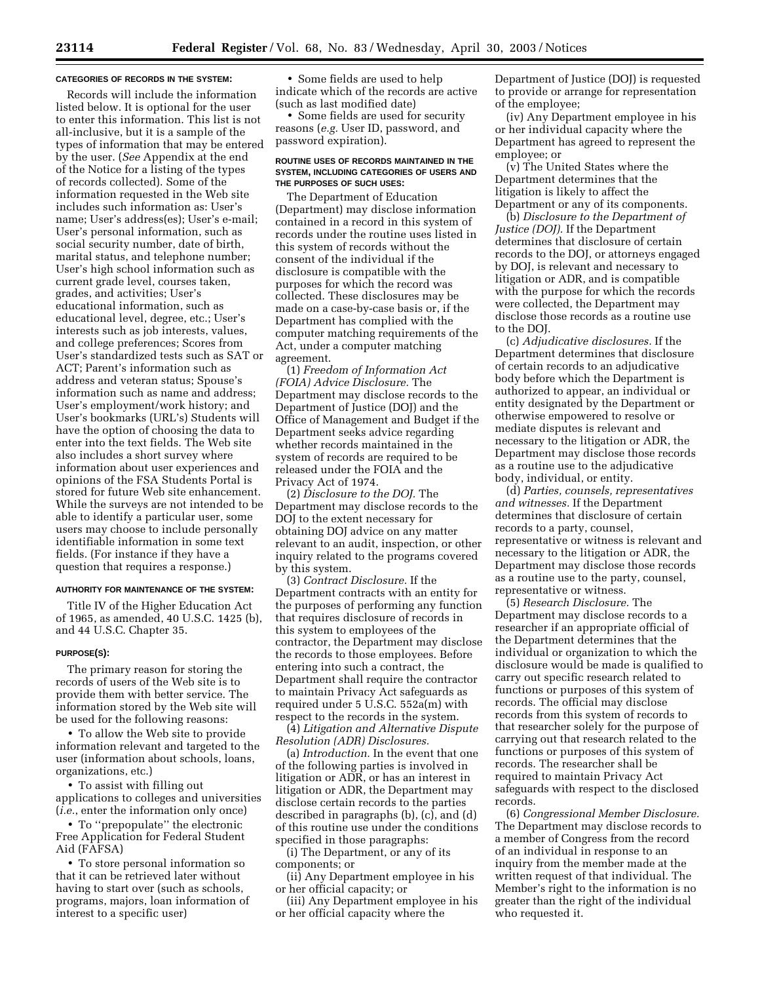### **CATEGORIES OF RECORDS IN THE SYSTEM:**

Records will include the information listed below. It is optional for the user to enter this information. This list is not all-inclusive, but it is a sample of the types of information that may be entered by the user. (*See* Appendix at the end of the Notice for a listing of the types of records collected). Some of the information requested in the Web site includes such information as: User's name; User's address(es); User's e-mail; User's personal information, such as social security number, date of birth, marital status, and telephone number; User's high school information such as current grade level, courses taken, grades, and activities; User's educational information, such as educational level, degree, etc.; User's interests such as job interests, values, and college preferences; Scores from User's standardized tests such as SAT or ACT; Parent's information such as address and veteran status; Spouse's information such as name and address; User's employment/work history; and User's bookmarks (URL's) Students will have the option of choosing the data to enter into the text fields. The Web site also includes a short survey where information about user experiences and opinions of the FSA Students Portal is stored for future Web site enhancement. While the surveys are not intended to be able to identify a particular user, some users may choose to include personally identifiable information in some text fields. (For instance if they have a question that requires a response.)

### **AUTHORITY FOR MAINTENANCE OF THE SYSTEM:**

Title IV of the Higher Education Act of 1965, as amended, 40 U.S.C. 1425 (b), and 44 U.S.C. Chapter 35.

#### **PURPOSE(S):**

The primary reason for storing the records of users of the Web site is to provide them with better service. The information stored by the Web site will be used for the following reasons:

• To allow the Web site to provide information relevant and targeted to the user (information about schools, loans, organizations, etc.)

• To assist with filling out applications to colleges and universities (*i.e.*, enter the information only once)

• To ''prepopulate'' the electronic Free Application for Federal Student Aid (FAFSA)

• To store personal information so that it can be retrieved later without having to start over (such as schools, programs, majors, loan information of interest to a specific user)

• Some fields are used to help indicate which of the records are active (such as last modified date)

• Some fields are used for security reasons (*e.g.* User ID, password, and password expiration).

### **ROUTINE USES OF RECORDS MAINTAINED IN THE SYSTEM, INCLUDING CATEGORIES OF USERS AND THE PURPOSES OF SUCH USES:**

The Department of Education (Department) may disclose information contained in a record in this system of records under the routine uses listed in this system of records without the consent of the individual if the disclosure is compatible with the purposes for which the record was collected. These disclosures may be made on a case-by-case basis or, if the Department has complied with the computer matching requirements of the Act, under a computer matching agreement.

(1) *Freedom of Information Act (FOIA) Advice Disclosure.* The Department may disclose records to the Department of Justice (DOJ) and the Office of Management and Budget if the Department seeks advice regarding whether records maintained in the system of records are required to be released under the FOIA and the Privacy Act of 1974.

(2) *Disclosure to the DOJ.* The Department may disclose records to the DOJ to the extent necessary for obtaining DOJ advice on any matter relevant to an audit, inspection, or other inquiry related to the programs covered by this system.

(3) *Contract Disclosure.* If the Department contracts with an entity for the purposes of performing any function that requires disclosure of records in this system to employees of the contractor, the Department may disclose the records to those employees. Before entering into such a contract, the Department shall require the contractor to maintain Privacy Act safeguards as required under 5 U.S.C. 552a(m) with respect to the records in the system.

(4) *Litigation and Alternative Dispute Resolution (ADR) Disclosures.* 

(a) *Introduction.* In the event that one of the following parties is involved in litigation or ADR, or has an interest in litigation or ADR, the Department may disclose certain records to the parties described in paragraphs (b), (c), and (d) of this routine use under the conditions specified in those paragraphs:

(i) The Department, or any of its components; or

(ii) Any Department employee in his or her official capacity; or

(iii) Any Department employee in his or her official capacity where the

Department of Justice (DOJ) is requested to provide or arrange for representation of the employee;

(iv) Any Department employee in his or her individual capacity where the Department has agreed to represent the employee; or

(v) The United States where the Department determines that the litigation is likely to affect the Department or any of its components.

(b) *Disclosure to the Department of Justice (DOJ).* If the Department determines that disclosure of certain records to the DOJ, or attorneys engaged by DOJ, is relevant and necessary to litigation or ADR, and is compatible with the purpose for which the records were collected, the Department may disclose those records as a routine use to the DOJ.

(c) *Adjudicative disclosures.* If the Department determines that disclosure of certain records to an adjudicative body before which the Department is authorized to appear, an individual or entity designated by the Department or otherwise empowered to resolve or mediate disputes is relevant and necessary to the litigation or ADR, the Department may disclose those records as a routine use to the adjudicative body, individual, or entity.

(d) *Parties, counsels, representatives and witnesses.* If the Department determines that disclosure of certain records to a party, counsel, representative or witness is relevant and necessary to the litigation or ADR, the Department may disclose those records as a routine use to the party, counsel, representative or witness.

(5) *Research Disclosure.* The Department may disclose records to a researcher if an appropriate official of the Department determines that the individual or organization to which the disclosure would be made is qualified to carry out specific research related to functions or purposes of this system of records. The official may disclose records from this system of records to that researcher solely for the purpose of carrying out that research related to the functions or purposes of this system of records. The researcher shall be required to maintain Privacy Act safeguards with respect to the disclosed records.

(6) *Congressional Member Disclosure.*  The Department may disclose records to a member of Congress from the record of an individual in response to an inquiry from the member made at the written request of that individual. The Member's right to the information is no greater than the right of the individual who requested it.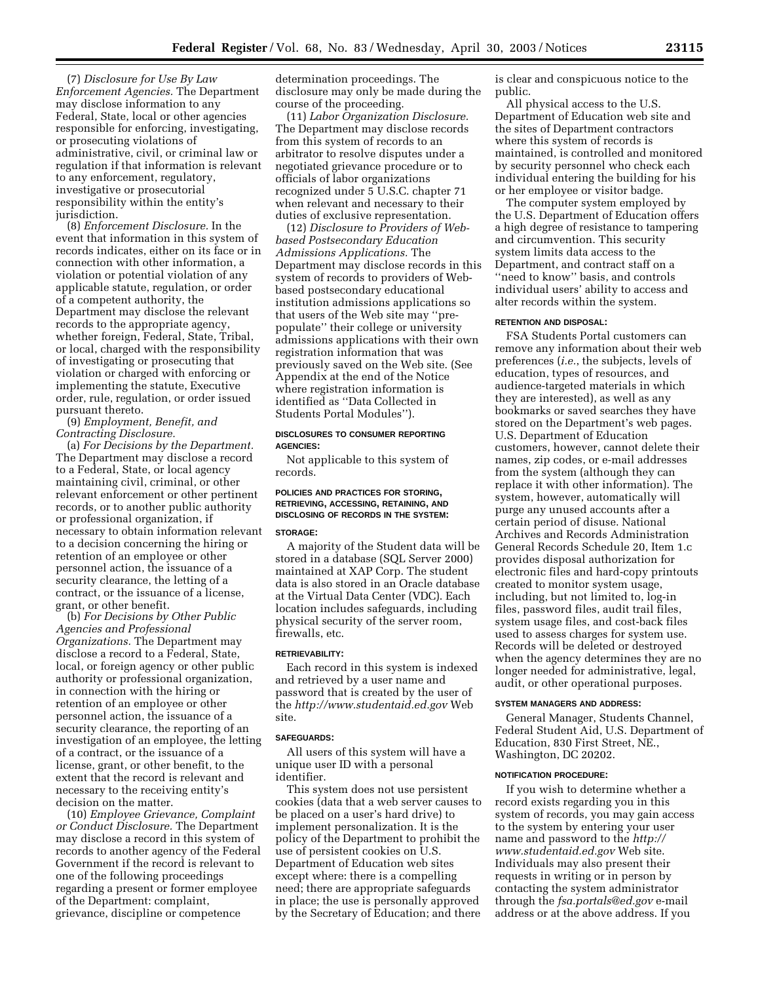(7) *Disclosure for Use By Law Enforcement Agencies.* The Department may disclose information to any Federal, State, local or other agencies responsible for enforcing, investigating, or prosecuting violations of administrative, civil, or criminal law or regulation if that information is relevant to any enforcement, regulatory, investigative or prosecutorial responsibility within the entity's jurisdiction.

(8) *Enforcement Disclosure.* In the event that information in this system of records indicates, either on its face or in connection with other information, a violation or potential violation of any applicable statute, regulation, or order of a competent authority, the Department may disclose the relevant records to the appropriate agency, whether foreign, Federal, State, Tribal, or local, charged with the responsibility of investigating or prosecuting that violation or charged with enforcing or implementing the statute, Executive order, rule, regulation, or order issued pursuant thereto.

(9) *Employment, Benefit, and Contracting Disclosure.* 

(a) *For Decisions by the Department.*  The Department may disclose a record to a Federal, State, or local agency maintaining civil, criminal, or other relevant enforcement or other pertinent records, or to another public authority or professional organization, if necessary to obtain information relevant to a decision concerning the hiring or retention of an employee or other personnel action, the issuance of a security clearance, the letting of a contract, or the issuance of a license, grant, or other benefit.

(b) *For Decisions by Other Public Agencies and Professional Organizations.* The Department may disclose a record to a Federal, State, local, or foreign agency or other public authority or professional organization, in connection with the hiring or retention of an employee or other personnel action, the issuance of a security clearance, the reporting of an investigation of an employee, the letting of a contract, or the issuance of a license, grant, or other benefit, to the extent that the record is relevant and necessary to the receiving entity's decision on the matter.

(10) *Employee Grievance, Complaint or Conduct Disclosure.* The Department may disclose a record in this system of records to another agency of the Federal Government if the record is relevant to one of the following proceedings regarding a present or former employee of the Department: complaint, grievance, discipline or competence

determination proceedings. The disclosure may only be made during the course of the proceeding.

(11) *Labor Organization Disclosure.*  The Department may disclose records from this system of records to an arbitrator to resolve disputes under a negotiated grievance procedure or to officials of labor organizations recognized under 5 U.S.C. chapter 71 when relevant and necessary to their duties of exclusive representation.

(12) *Disclosure to Providers of Webbased Postsecondary Education Admissions Applications.* The Department may disclose records in this system of records to providers of Webbased postsecondary educational institution admissions applications so that users of the Web site may ''prepopulate'' their college or university admissions applications with their own registration information that was previously saved on the Web site. (See Appendix at the end of the Notice where registration information is identified as ''Data Collected in Students Portal Modules'').

### **DISCLOSURES TO CONSUMER REPORTING AGENCIES:**

Not applicable to this system of records.

# **POLICIES AND PRACTICES FOR STORING, RETRIEVING, ACCESSING, RETAINING, AND DISCLOSING OF RECORDS IN THE SYSTEM:**

# **STORAGE:**

A majority of the Student data will be stored in a database (SQL Server 2000) maintained at XAP Corp. The student data is also stored in an Oracle database at the Virtual Data Center (VDC). Each location includes safeguards, including physical security of the server room, firewalls, etc.

#### **RETRIEVABILITY:**

Each record in this system is indexed and retrieved by a user name and password that is created by the user of the *http://www.studentaid.ed.gov* Web site.

### **SAFEGUARDS:**

All users of this system will have a unique user ID with a personal identifier.

This system does not use persistent cookies (data that a web server causes to be placed on a user's hard drive) to implement personalization. It is the policy of the Department to prohibit the use of persistent cookies on U.S. Department of Education web sites except where: there is a compelling need; there are appropriate safeguards in place; the use is personally approved by the Secretary of Education; and there

is clear and conspicuous notice to the public.

All physical access to the U.S. Department of Education web site and the sites of Department contractors where this system of records is maintained, is controlled and monitored by security personnel who check each individual entering the building for his or her employee or visitor badge.

The computer system employed by the U.S. Department of Education offers a high degree of resistance to tampering and circumvention. This security system limits data access to the Department, and contract staff on a ''need to know'' basis, and controls individual users' ability to access and alter records within the system.

### **RETENTION AND DISPOSAL:**

FSA Students Portal customers can remove any information about their web preferences (*i.e.*, the subjects, levels of education, types of resources, and audience-targeted materials in which they are interested), as well as any bookmarks or saved searches they have stored on the Department's web pages. U.S. Department of Education customers, however, cannot delete their names, zip codes, or e-mail addresses from the system (although they can replace it with other information). The system, however, automatically will purge any unused accounts after a certain period of disuse. National Archives and Records Administration General Records Schedule 20, Item 1.c provides disposal authorization for electronic files and hard-copy printouts created to monitor system usage, including, but not limited to, log-in files, password files, audit trail files, system usage files, and cost-back files used to assess charges for system use. Records will be deleted or destroyed when the agency determines they are no longer needed for administrative, legal, audit, or other operational purposes.

#### **SYSTEM MANAGERS AND ADDRESS:**

General Manager, Students Channel, Federal Student Aid, U.S. Department of Education, 830 First Street, NE., Washington, DC 20202.

#### **NOTIFICATION PROCEDURE:**

If you wish to determine whether a record exists regarding you in this system of records, you may gain access to the system by entering your user name and password to the *http:// www.studentaid.ed.gov* Web site. Individuals may also present their requests in writing or in person by contacting the system administrator through the *fsa.portals@ed.gov* e-mail address or at the above address. If you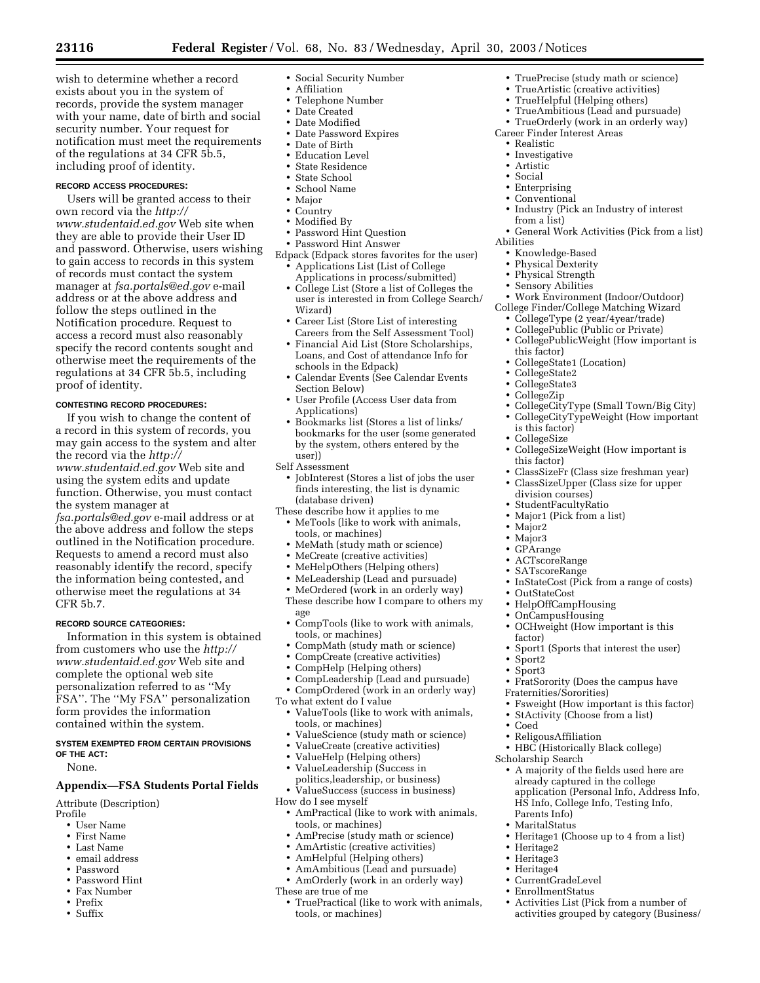wish to determine whether a record exists about you in the system of records, provide the system manager with your name, date of birth and social security number. Your request for notification must meet the requirements of the regulations at 34 CFR 5b.5, including proof of identity.

### **RECORD ACCESS PROCEDURES:**

Users will be granted access to their own record via the *http:// www.studentaid.ed.gov* Web site when they are able to provide their User ID and password. Otherwise, users wishing to gain access to records in this system of records must contact the system manager at *fsa.portals@ed.gov* e-mail address or at the above address and follow the steps outlined in the Notification procedure. Request to access a record must also reasonably specify the record contents sought and otherwise meet the requirements of the regulations at 34 CFR 5b.5, including proof of identity.

### **CONTESTING RECORD PROCEDURES:**

If you wish to change the content of a record in this system of records, you may gain access to the system and alter the record via the *http:// www.studentaid.ed.gov* Web site and using the system edits and update function. Otherwise, you must contact the system manager at *fsa.portals@ed.gov* e-mail address or at the above address and follow the steps outlined in the Notification procedure.

Requests to amend a record must also reasonably identify the record, specify the information being contested, and otherwise meet the regulations at 34 CFR 5b.7.

### **RECORD SOURCE CATEGORIES:**

Information in this system is obtained from customers who use the *http:// www.studentaid.ed.gov* Web site and complete the optional web site personalization referred to as ''My FSA''. The ''My FSA'' personalization form provides the information contained within the system.

## **SYSTEM EXEMPTED FROM CERTAIN PROVISIONS OF THE ACT:**

None.

# **Appendix—FSA Students Portal Fields**

Attribute (Description)

- Profile
	- User Name
	- First Name
	- Last Name
	- email address
	- Password
	- Password Hint • Fax Number
	- Prefix
	- Suffix
- Social Security Number
- Affiliation
- Telephone Number
- Date Created
- Date Modified
- Date Password Expires • Date of Birth
- Education Level
- State Residence
- State School
- School Name
- Major
- Country
- Modified By
- Password Hint Question
- Password Hint Answer
- Edpack (Edpack stores favorites for the user) • Applications List (List of College
	- Applications in process/submitted) College List (Store a list of Colleges the user is interested in from College Search/ Wizard)
	- • Career List (Store List of interesting Careers from the Self Assessment Tool)
	- Financial Aid List (Store Scholarships, Loans, and Cost of attendance Info for schools in the Edpack)
	- • Calendar Events (See Calendar Events Section Below)
	- • User Profile (Access User data from Applications)
	- • Bookmarks list (Stores a list of links/ bookmarks for the user (some generated by the system, others entered by the user))
- Self Assessment
- JobInterest (Stores a list of jobs the user finds interesting, the list is dynamic (database driven)
- These describe how it applies to me
- MeTools (like to work with animals, tools, or machines)
- MeMath (study math or science)
- MeCreate (creative activities)
- MeHelpOthers (Helping others)
- MeLeadership (Lead and pursuade)
- MeOrdered (work in an orderly way) These describe how I compare to others my age
- CompTools (like to work with animals, tools, or machines)
- CompMath (study math or science)
- CompCreate (creative activities)
- CompHelp (Helping others)
- CompLeadership (Lead and pursuade)
- CompOrdered (work in an orderly way)
- To what extent do I value
- ValueTools (like to work with animals, tools, or machines)
- ValueScience (study math or science)
- ValueCreate (creative activities)
- ValueHelp (Helping others)
- • ValueLeadership (Success in
- politics,leadership, or business) • ValueSuccess (success in business)
- How do I see myself
- • AmPractical (like to work with animals, tools, or machines)
- AmPrecise (study math or science)
- AmArtistic (creative activities)
- AmHelpful (Helping others)
- AmAmbitious (Lead and pursuade)
- AmOrderly (work in an orderly way)
- These are true of me
	- • TruePractical (like to work with animals, tools, or machines)
- TruePrecise (study math or science)
- TrueArtistic (creative activities)
- TrueHelpful (Helping others)
- TrueAmbitious (Lead and pursuade)
- TrueOrderly (work in an orderly way) Career Finder Interest Areas
	- Realistic
	- **Investigative**
	- Artistic
	- Social
	- **Enterprising**
	- Conventional
	- Industry (Pick an Industry of interest from a list)
- General Work Activities (Pick from a list) Abilities
	- Knowledge-Based
	- Physical Dexterity
	- Physical Strength
	- Sensory Abilities
	- Work Environment (Indoor/Outdoor)
- College Finder/College Matching Wizard
	- CollegeType (2 year/4year/trade)
	- CollegePublic (Public or Private)
	- • CollegePublicWeight (How important is this factor)

• CollegeCityType (Small Town/Big City) • CollegeCityTypeWeight (How important

• CollegeSizeWeight (How important is

• ClassSizeFr (Class size freshman year) ClassSizeUpper (Class size for upper

• InStateCost (Pick from a range of costs)

• OCHweight (How important is this

• Sport1 (Sports that interest the user)<br>• Sport2

• FratSorority (Does the campus have

• Fsweight (How important is this factor) • StActivity (Choose from a list)

• HBC (Historically Black college)

• A majority of the fields used here are already captured in the college

• Heritage1 (Choose up to 4 from a list)

• Activities List (Pick from a number of activities grouped by category (Business/

application (Personal Info, Address Info, HS Info, College Info, Testing Info,

- CollegeState1 (Location)
- CollegeState2 • CollegeState3

is this factor) • CollegeSize

this factor)

Major<sub>2</sub> • Major3 • GPArange • ACTscoreRange • SATscoreRange

• OutStateCost • HelpOffCampHousing • OnCampusHousing

factor)

Sport<sub>2</sub> • Sport3

• Coed

Fraternities/Sororities)

• ReligousAffiliation

Scholarship Search

Parents Info) • MaritalStatus

• CurrentGradeLevel • EnrollmentStatus

• Heritage2 Heritage<sub>3</sub> • Heritage4

division courses) • StudentFacultyRatio • Major1 (Pick from a list)

• CollegeZip